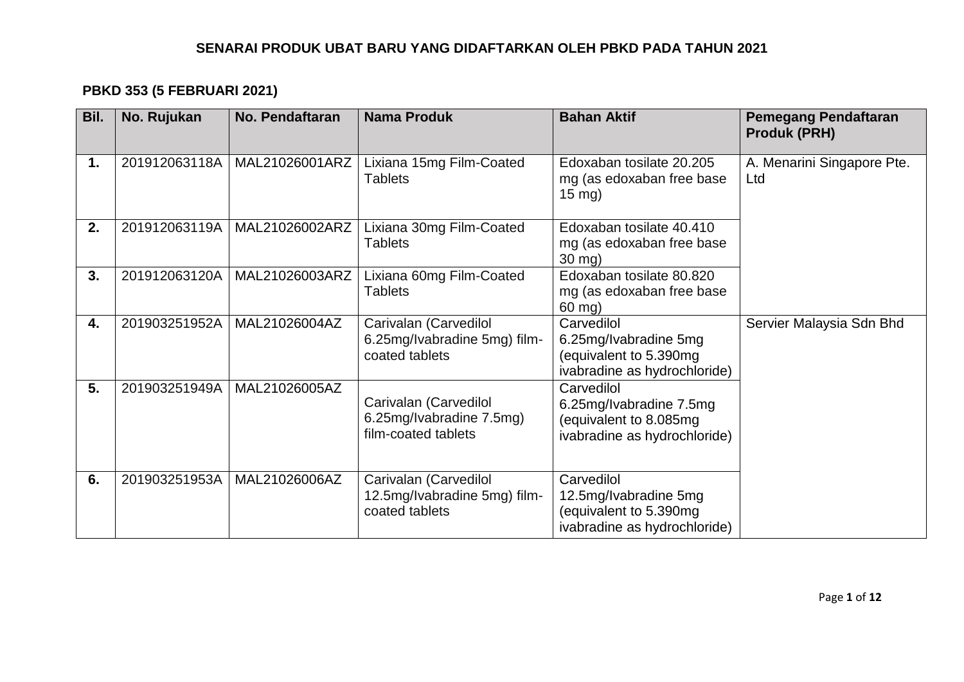# **PBKD 353 (5 FEBRUARI 2021)**

| Bil. | No. Rujukan   | <b>No. Pendaftaran</b> | <b>Nama Produk</b>                                                       | <b>Bahan Aktif</b>                                                                              | <b>Pemegang Pendaftaran</b><br><b>Produk (PRH)</b> |
|------|---------------|------------------------|--------------------------------------------------------------------------|-------------------------------------------------------------------------------------------------|----------------------------------------------------|
| 1.   | 201912063118A | MAL21026001ARZ         | Lixiana 15mg Film-Coated<br><b>Tablets</b>                               | Edoxaban tosilate 20.205<br>mg (as edoxaban free base<br>$15 \text{ mg}$ )                      | A. Menarini Singapore Pte.<br>Ltd                  |
| 2.   | 201912063119A | MAL21026002ARZ         | Lixiana 30mg Film-Coated<br><b>Tablets</b>                               | Edoxaban tosilate 40.410<br>mg (as edoxaban free base<br>30 mg)                                 |                                                    |
| 3.   | 201912063120A | MAL21026003ARZ         | Lixiana 60mg Film-Coated<br><b>Tablets</b>                               | Edoxaban tosilate 80.820<br>mg (as edoxaban free base<br>$60$ mg)                               |                                                    |
| 4.   | 201903251952A | MAL21026004AZ          | Carivalan (Carvedilol<br>6.25mg/Ivabradine 5mg) film-<br>coated tablets  | Carvedilol<br>6.25mg/Ivabradine 5mg<br>(equivalent to 5.390mg<br>ivabradine as hydrochloride)   | Servier Malaysia Sdn Bhd                           |
| 5.   | 201903251949A | MAL21026005AZ          | Carivalan (Carvedilol<br>6.25mg/lvabradine 7.5mg)<br>film-coated tablets | Carvedilol<br>6.25mg/Ivabradine 7.5mg<br>(equivalent to 8.085mg<br>ivabradine as hydrochloride) |                                                    |
| 6.   | 201903251953A | MAL21026006AZ          | Carivalan (Carvedilol<br>12.5mg/Ivabradine 5mg) film-<br>coated tablets  | Carvedilol<br>12.5mg/Ivabradine 5mg<br>(equivalent to 5.390mg<br>ivabradine as hydrochloride)   |                                                    |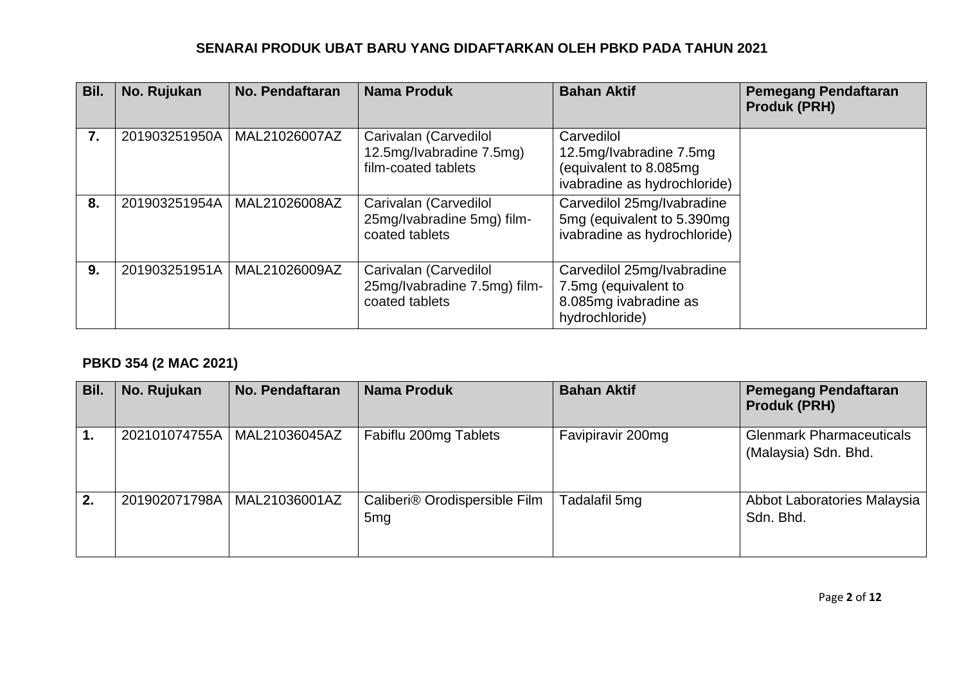| Bil.             | No. Rujukan   | <b>No. Pendaftaran</b> | <b>Nama Produk</b>                                                       | <b>Bahan Aktif</b>                                                                              | <b>Pemegang Pendaftaran</b><br><b>Produk (PRH)</b> |
|------------------|---------------|------------------------|--------------------------------------------------------------------------|-------------------------------------------------------------------------------------------------|----------------------------------------------------|
| $\overline{7}$ . | 201903251950A | MAL21026007AZ          | Carivalan (Carvedilol<br>12.5mg/Ivabradine 7.5mg)<br>film-coated tablets | Carvedilol<br>12.5mg/Ivabradine 7.5mg<br>(equivalent to 8.085mg<br>ivabradine as hydrochloride) |                                                    |
| 8.               | 201903251954A | MAL21026008AZ          | Carivalan (Carvedilol<br>25mg/Ivabradine 5mg) film-<br>coated tablets    | Carvedilol 25mg/Ivabradine<br>5mg (equivalent to 5.390mg)<br>ivabradine as hydrochloride)       |                                                    |
| 9.               | 201903251951A | MAL21026009AZ          | Carivalan (Carvedilol<br>25mg/Ivabradine 7.5mg) film-<br>coated tablets  | Carvedilol 25mg/Ivabradine<br>7.5mg (equivalent to<br>8.085mg ivabradine as<br>hydrochloride)   |                                                    |

# **PBKD 354 (2 MAC 2021)**

| Bil. | No. Rujukan   | No. Pendaftaran | <b>Nama Produk</b>                               | <b>Bahan Aktif</b> | <b>Pemegang Pendaftaran</b><br><b>Produk (PRH)</b>      |
|------|---------------|-----------------|--------------------------------------------------|--------------------|---------------------------------------------------------|
|      | 202101074755A | MAL21036045AZ   | Fabiflu 200mg Tablets                            | Favipiravir 200mg  | <b>Glenmark Pharmaceuticals</b><br>(Malaysia) Sdn. Bhd. |
| 2.   | 201902071798A | MAL21036001AZ   | Caliberi® Orodispersible Film<br>5 <sub>mg</sub> | Tadalafil 5mg      | Abbot Laboratories Malaysia<br>Sdn. Bhd.                |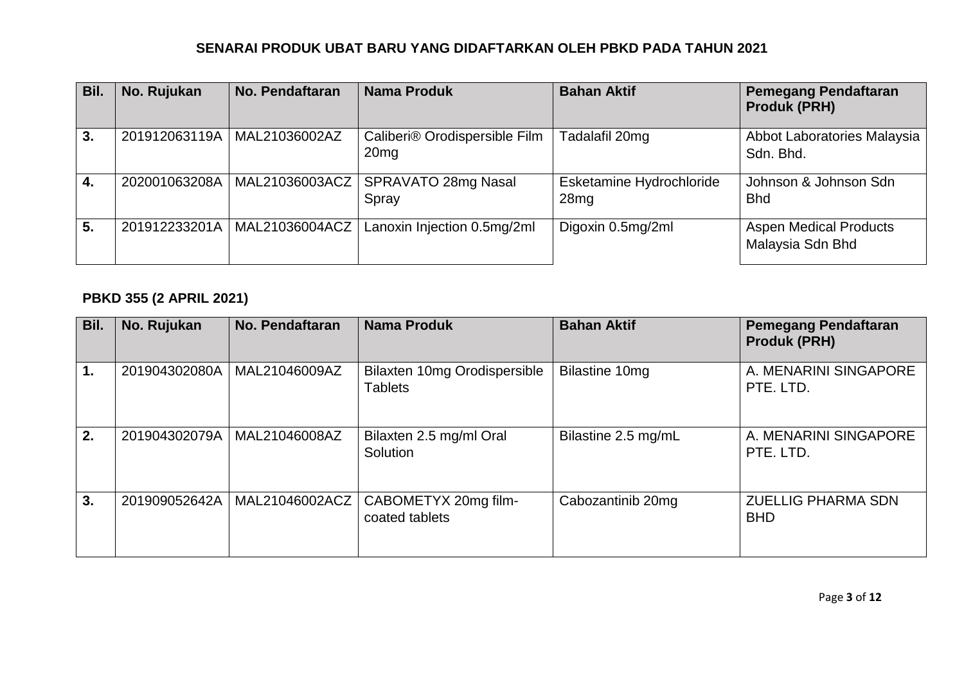| Bil. | No. Rujukan   | No. Pendaftaran               | <b>Nama Produk</b>                                | <b>Bahan Aktif</b>               | <b>Pemegang Pendaftaran</b><br><b>Produk (PRH)</b> |
|------|---------------|-------------------------------|---------------------------------------------------|----------------------------------|----------------------------------------------------|
| 3.   |               | 201912063119A   MAL21036002AZ | Caliberi® Orodispersible Film<br>20 <sub>mg</sub> | Tadalafil 20mg                   | Abbot Laboratories Malaysia<br>Sdn. Bhd.           |
| 4.   | 202001063208A | MAL21036003ACZ                | SPRAVATO 28mg Nasal<br>Spray                      | Esketamine Hydrochloride<br>28mg | Johnson & Johnson Sdn<br><b>Bhd</b>                |
| 5.   | 201912233201A | MAL21036004ACZ                | Lanoxin Injection 0.5mg/2ml                       | Digoxin 0.5mg/2ml                | <b>Aspen Medical Products</b><br>Malaysia Sdn Bhd  |

# **PBKD 355 (2 APRIL 2021)**

| Bil. | No. Rujukan   | No. Pendaftaran | <b>Nama Produk</b>                             | <b>Bahan Aktif</b>  | <b>Pemegang Pendaftaran</b><br><b>Produk (PRH)</b> |
|------|---------------|-----------------|------------------------------------------------|---------------------|----------------------------------------------------|
|      | 201904302080A | MAL21046009AZ   | Bilaxten 10mg Orodispersible<br><b>Tablets</b> | Bilastine 10mg      | A. MENARINI SINGAPORE<br>PTE. LTD.                 |
| 2.   | 201904302079A | MAL21046008AZ   | Bilaxten 2.5 mg/ml Oral<br>Solution            | Bilastine 2.5 mg/mL | A. MENARINI SINGAPORE<br>PTE. LTD.                 |
| 3.   | 201909052642A | MAL21046002ACZ  | CABOMETYX 20mg film-<br>coated tablets         | Cabozantinib 20mg   | <b>ZUELLIG PHARMA SDN</b><br><b>BHD</b>            |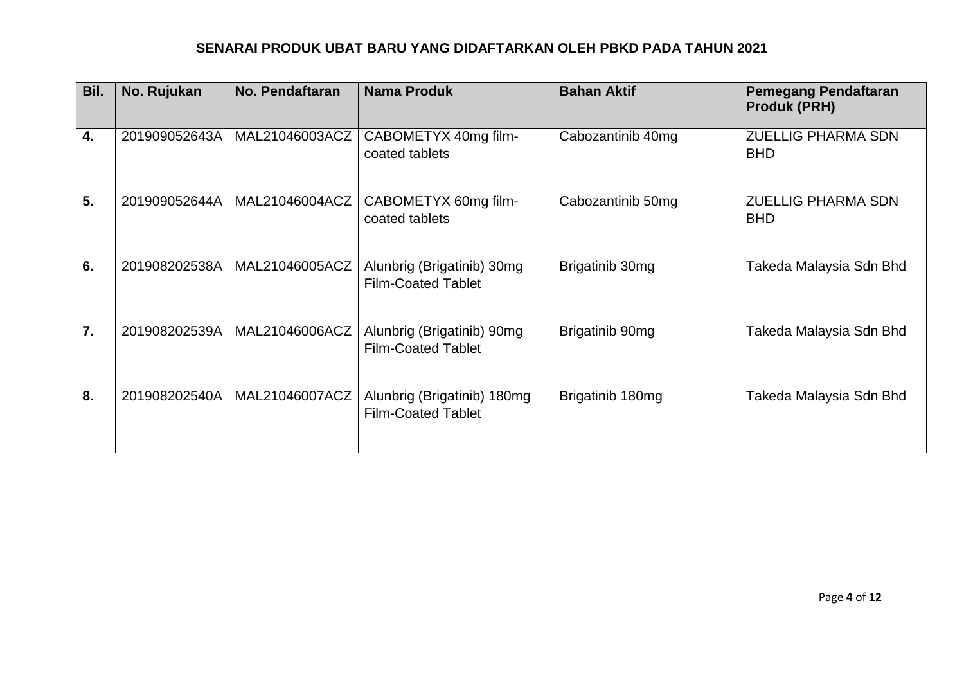| Bil.             | No. Rujukan   | No. Pendaftaran | <b>Nama Produk</b>                                       | <b>Bahan Aktif</b> | <b>Pemegang Pendaftaran</b><br><b>Produk (PRH)</b> |
|------------------|---------------|-----------------|----------------------------------------------------------|--------------------|----------------------------------------------------|
| 4.               | 201909052643A | MAL21046003ACZ  | CABOMETYX 40mg film-<br>coated tablets                   | Cabozantinib 40mg  | <b>ZUELLIG PHARMA SDN</b><br><b>BHD</b>            |
| 5.               | 201909052644A | MAL21046004ACZ  | CABOMETYX 60mg film-<br>coated tablets                   | Cabozantinib 50mg  | <b>ZUELLIG PHARMA SDN</b><br><b>BHD</b>            |
| 6.               | 201908202538A | MAL21046005ACZ  | Alunbrig (Brigatinib) 30mg<br><b>Film-Coated Tablet</b>  | Brigatinib 30mg    | Takeda Malaysia Sdn Bhd                            |
| $\overline{7}$ . | 201908202539A | MAL21046006ACZ  | Alunbrig (Brigatinib) 90mg<br><b>Film-Coated Tablet</b>  | Brigatinib 90mg    | Takeda Malaysia Sdn Bhd                            |
| 8.               | 201908202540A | MAL21046007ACZ  | Alunbrig (Brigatinib) 180mg<br><b>Film-Coated Tablet</b> | Brigatinib 180mg   | Takeda Malaysia Sdn Bhd                            |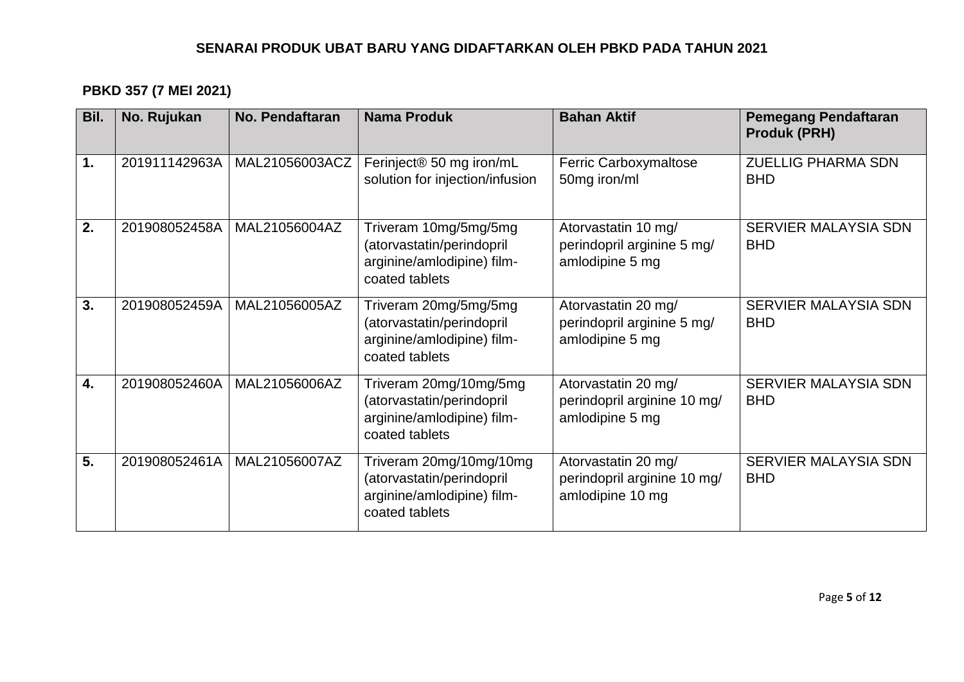# **PBKD 357 (7 MEI 2021)**

| Bil. | No. Rujukan   | <b>No. Pendaftaran</b> | <b>Nama Produk</b>                                                                                   | <b>Bahan Aktif</b>                                                     | <b>Pemegang Pendaftaran</b><br><b>Produk (PRH)</b> |
|------|---------------|------------------------|------------------------------------------------------------------------------------------------------|------------------------------------------------------------------------|----------------------------------------------------|
| 1.   | 201911142963A | MAL21056003ACZ         | Ferinject <sup>®</sup> 50 mg iron/mL<br>solution for injection/infusion                              | Ferric Carboxymaltose<br>50mg iron/ml                                  | <b>ZUELLIG PHARMA SDN</b><br><b>BHD</b>            |
| 2.   | 201908052458A | MAL21056004AZ          | Triveram 10mg/5mg/5mg<br>(atorvastatin/perindopril<br>arginine/amlodipine) film-<br>coated tablets   | Atorvastatin 10 mg/<br>perindopril arginine 5 mg/<br>amlodipine 5 mg   | SERVIER MALAYSIA SDN<br><b>BHD</b>                 |
| 3.   | 201908052459A | MAL21056005AZ          | Triveram 20mg/5mg/5mg<br>(atorvastatin/perindopril<br>arginine/amlodipine) film-<br>coated tablets   | Atorvastatin 20 mg/<br>perindopril arginine 5 mg/<br>amlodipine 5 mg   | <b>SERVIER MALAYSIA SDN</b><br><b>BHD</b>          |
| 4.   | 201908052460A | MAL21056006AZ          | Triveram 20mg/10mg/5mg<br>(atorvastatin/perindopril<br>arginine/amlodipine) film-<br>coated tablets  | Atorvastatin 20 mg/<br>perindopril arginine 10 mg/<br>amlodipine 5 mg  | SERVIER MALAYSIA SDN<br><b>BHD</b>                 |
| 5.   | 201908052461A | MAL21056007AZ          | Triveram 20mg/10mg/10mg<br>(atorvastatin/perindopril<br>arginine/amlodipine) film-<br>coated tablets | Atorvastatin 20 mg/<br>perindopril arginine 10 mg/<br>amlodipine 10 mg | <b>SERVIER MALAYSIA SDN</b><br><b>BHD</b>          |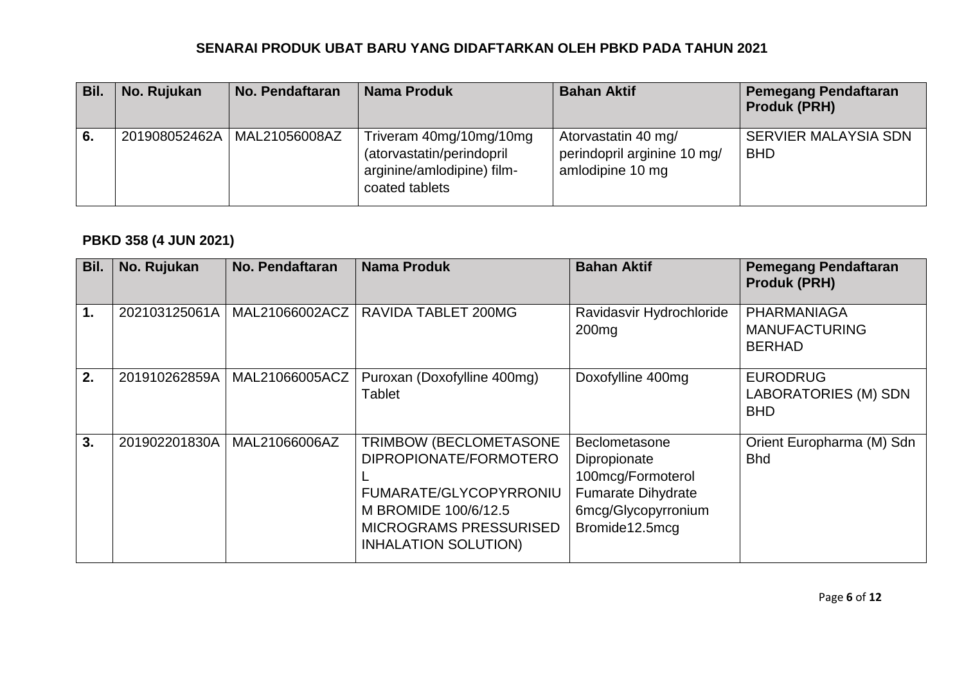| Bil. | No. Rujukan | No. Pendaftaran               | Nama Produk                                                                                          | <b>Bahan Aktif</b>                                                     | <b>Pemegang Pendaftaran</b><br><b>Produk (PRH)</b> |
|------|-------------|-------------------------------|------------------------------------------------------------------------------------------------------|------------------------------------------------------------------------|----------------------------------------------------|
| 6.   |             | 201908052462A   MAL21056008AZ | Triveram 40mg/10mg/10mg<br>(atorvastatin/perindopril<br>arginine/amlodipine) film-<br>coated tablets | Atorvastatin 40 mg/<br>perindopril arginine 10 mg/<br>amlodipine 10 mg | <b>SERVIER MALAYSIA SDN</b><br><b>BHD</b>          |

# **PBKD 358 (4 JUN 2021)**

| Bil.          | No. Rujukan   | No. Pendaftaran | <b>Nama Produk</b>                                                                                                                                                 | <b>Bahan Aktif</b>                                                                                                       | <b>Pemegang Pendaftaran</b><br><b>Produk (PRH)</b>           |
|---------------|---------------|-----------------|--------------------------------------------------------------------------------------------------------------------------------------------------------------------|--------------------------------------------------------------------------------------------------------------------------|--------------------------------------------------------------|
| $\mathbf 1$ . | 202103125061A | MAL21066002ACZ  | <b>RAVIDA TABLET 200MG</b>                                                                                                                                         | Ravidasvir Hydrochloride<br>200 <sub>mg</sub>                                                                            | PHARMANIAGA<br><b>MANUFACTURING</b><br><b>BERHAD</b>         |
| 2.            | 201910262859A | MAL21066005ACZ  | Puroxan (Doxofylline 400mg)<br><b>Tablet</b>                                                                                                                       | Doxofylline 400mg                                                                                                        | <b>EURODRUG</b><br><b>LABORATORIES (M) SDN</b><br><b>BHD</b> |
| 3.            | 201902201830A | MAL21066006AZ   | TRIMBOW (BECLOMETASONE<br>DIPROPIONATE/FORMOTERO<br>FUMARATE/GLYCOPYRRONIU<br>M BROMIDE 100/6/12.5<br><b>MICROGRAMS PRESSURISED</b><br><b>INHALATION SOLUTION)</b> | Beclometasone<br>Dipropionate<br>100mcg/Formoterol<br><b>Fumarate Dihydrate</b><br>6mcg/Glycopyrronium<br>Bromide12.5mcg | Orient Europharma (M) Sdn<br><b>Bhd</b>                      |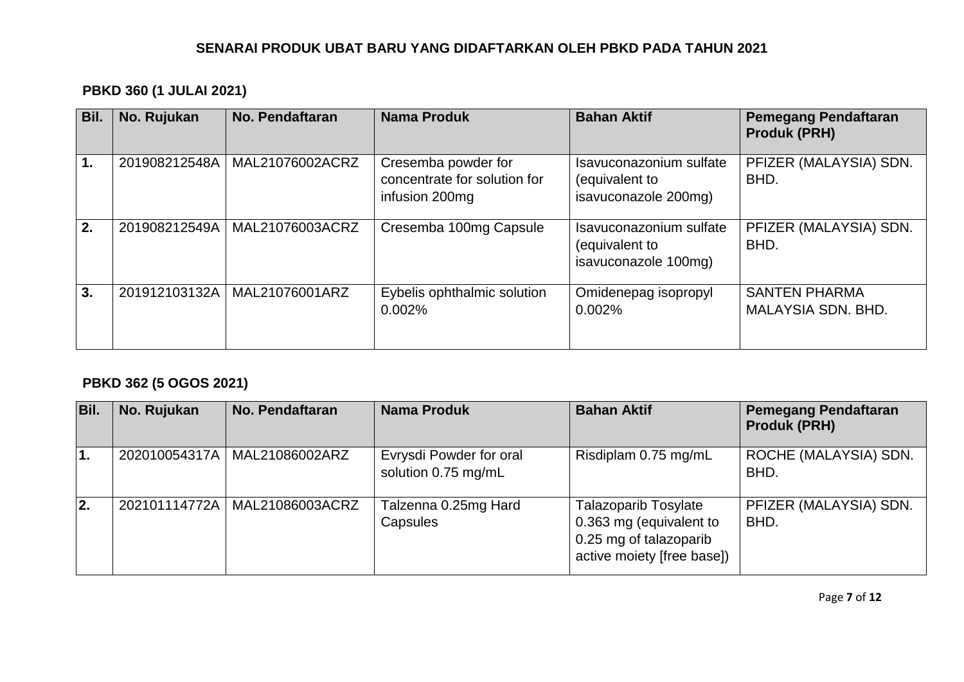## **PBKD 360 (1 JULAI 2021)**

| Bil. | No. Rujukan   | No. Pendaftaran | <b>Nama Produk</b>                                                    | <b>Bahan Aktif</b>                                                | <b>Pemegang Pendaftaran</b><br><b>Produk (PRH)</b> |
|------|---------------|-----------------|-----------------------------------------------------------------------|-------------------------------------------------------------------|----------------------------------------------------|
| 1.   | 201908212548A | MAL21076002ACRZ | Cresemba powder for<br>concentrate for solution for<br>infusion 200mg | Isavuconazonium sulfate<br>(equivalent to<br>isavuconazole 200mg) | PFIZER (MALAYSIA) SDN.<br>BHD.                     |
| 2.   | 201908212549A | MAL21076003ACRZ | Cresemba 100mg Capsule                                                | Isavuconazonium sulfate<br>(equivalent to<br>isavuconazole 100mg) | PFIZER (MALAYSIA) SDN.<br>BHD.                     |
| 3.   | 201912103132A | MAL21076001ARZ  | Eybelis ophthalmic solution<br>0.002%                                 | Omidenepag isopropyl<br>0.002%                                    | <b>SANTEN PHARMA</b><br>MALAYSIA SDN, BHD.         |

## **PBKD 362 (5 OGOS 2021)**

| Bil.             | No. Rujukan   | No. Pendaftaran | <b>Nama Produk</b>                             | <b>Bahan Aktif</b>                                                                                             | <b>Pemegang Pendaftaran</b><br><b>Produk (PRH)</b> |
|------------------|---------------|-----------------|------------------------------------------------|----------------------------------------------------------------------------------------------------------------|----------------------------------------------------|
| $\overline{1}$ . | 202010054317A | MAL21086002ARZ  | Evrysdi Powder for oral<br>solution 0.75 mg/mL | Risdiplam 0.75 mg/mL                                                                                           | ROCHE (MALAYSIA) SDN.<br>BHD.                      |
| 2.               | 202101114772A | MAL21086003ACRZ | Talzenna 0.25mg Hard<br>Capsules               | <b>Talazoparib Tosylate</b><br>0.363 mg (equivalent to<br>0.25 mg of talazoparib<br>active moiety [free base]) | PFIZER (MALAYSIA) SDN.<br>BHD.                     |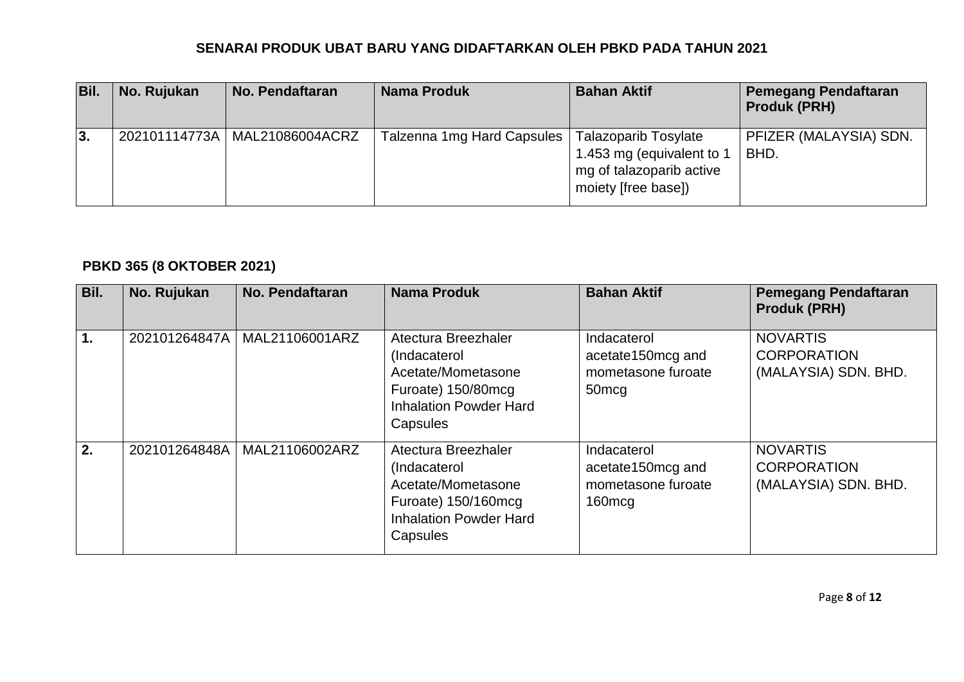| Bil. | No. Rujukan | <b>No. Pendaftaran</b>          | <b>Nama Produk</b>         | <b>Bahan Aktif</b>                                                                                          | <b>Pemegang Pendaftaran</b><br><b>Produk (PRH)</b> |
|------|-------------|---------------------------------|----------------------------|-------------------------------------------------------------------------------------------------------------|----------------------------------------------------|
| l3.  |             | 202101114773A   MAL21086004ACRZ | Talzenna 1mg Hard Capsules | <b>Talazoparib Tosylate</b><br>1.453 mg (equivalent to 1<br>mg of talazoparib active<br>moiety [free base]) | PFIZER (MALAYSIA) SDN.<br>BHD.                     |

# **PBKD 365 (8 OKTOBER 2021)**

| Bil.          | No. Rujukan   | <b>No. Pendaftaran</b> | <b>Nama Produk</b>                                                                                                            | <b>Bahan Aktif</b>                                                           | <b>Pemegang Pendaftaran</b><br><b>Produk (PRH)</b>            |
|---------------|---------------|------------------------|-------------------------------------------------------------------------------------------------------------------------------|------------------------------------------------------------------------------|---------------------------------------------------------------|
| $\mathbf 1$ . | 202101264847A | MAL21106001ARZ         | Atectura Breezhaler<br>(Indacaterol<br>Acetate/Mometasone<br>Furoate) 150/80mcg<br><b>Inhalation Powder Hard</b><br>Capsules  | Indacaterol<br>acetate150mcg and<br>mometasone furoate<br>50 <sub>mcg</sub>  | <b>NOVARTIS</b><br><b>CORPORATION</b><br>(MALAYSIA) SDN. BHD. |
| 2.            | 202101264848A | MAL21106002ARZ         | Atectura Breezhaler<br>(Indacaterol<br>Acetate/Mometasone<br>Furoate) 150/160mcg<br><b>Inhalation Powder Hard</b><br>Capsules | Indacaterol<br>acetate150mcg and<br>mometasone furoate<br>160 <sub>mcg</sub> | <b>NOVARTIS</b><br><b>CORPORATION</b><br>(MALAYSIA) SDN. BHD. |

Page **8** of **12**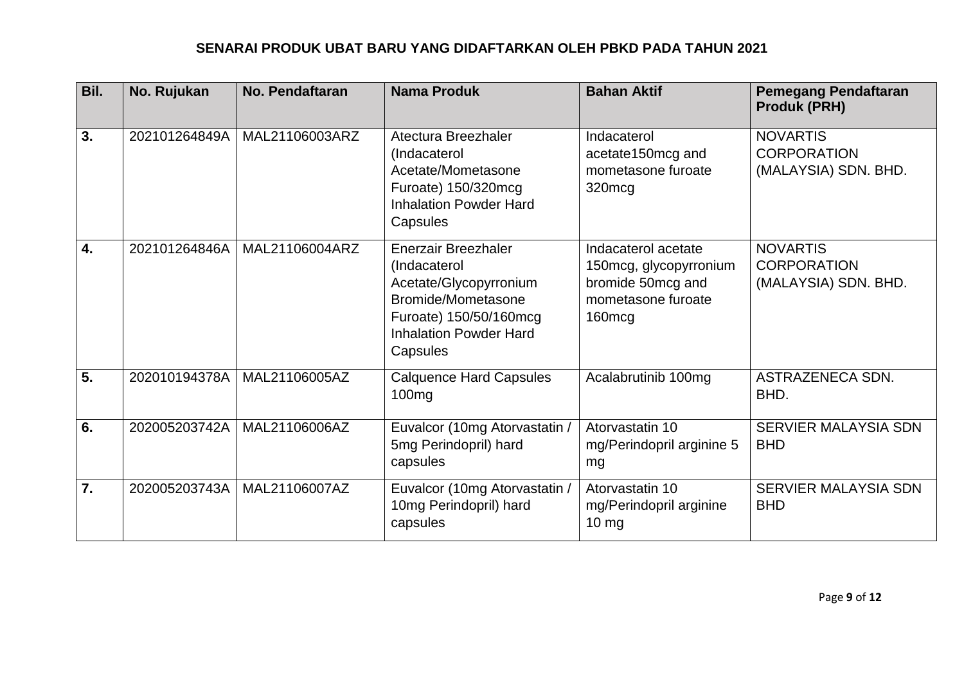| Bil.             | No. Rujukan   | No. Pendaftaran | <b>Nama Produk</b>                                                                                                                                                | <b>Bahan Aktif</b>                                                                                             | <b>Pemegang Pendaftaran</b><br><b>Produk (PRH)</b>            |
|------------------|---------------|-----------------|-------------------------------------------------------------------------------------------------------------------------------------------------------------------|----------------------------------------------------------------------------------------------------------------|---------------------------------------------------------------|
| 3.               | 202101264849A | MAL21106003ARZ  | Atectura Breezhaler<br>(Indacaterol<br>Acetate/Mometasone<br>Furoate) 150/320mcg<br><b>Inhalation Powder Hard</b><br>Capsules                                     | Indacaterol<br>acetate150mcg and<br>mometasone furoate<br>320mcg                                               | <b>NOVARTIS</b><br><b>CORPORATION</b><br>(MALAYSIA) SDN. BHD. |
| $\overline{4}$ . | 202101264846A | MAL21106004ARZ  | <b>Enerzair Breezhaler</b><br>(Indacaterol<br>Acetate/Glycopyrronium<br>Bromide/Mometasone<br>Furoate) 150/50/160mcg<br><b>Inhalation Powder Hard</b><br>Capsules | Indacaterol acetate<br>150mcg, glycopyrronium<br>bromide 50mcg and<br>mometasone furoate<br>160 <sub>mcg</sub> | <b>NOVARTIS</b><br><b>CORPORATION</b><br>(MALAYSIA) SDN. BHD. |
| $\overline{5}$ . | 202010194378A | MAL21106005AZ   | <b>Calquence Hard Capsules</b><br>100 <sub>mg</sub>                                                                                                               | Acalabrutinib 100mg                                                                                            | ASTRAZENECA SDN.<br>BHD.                                      |
| 6.               | 202005203742A | MAL21106006AZ   | Euvalcor (10mg Atorvastatin /<br>5mg Perindopril) hard<br>capsules                                                                                                | Atorvastatin 10<br>mg/Perindopril arginine 5<br>mg                                                             | <b>SERVIER MALAYSIA SDN</b><br><b>BHD</b>                     |
| $\overline{7}$ . | 202005203743A | MAL21106007AZ   | Euvalcor (10mg Atorvastatin /<br>10mg Perindopril) hard<br>capsules                                                                                               | Atorvastatin 10<br>mg/Perindopril arginine<br>$10 \text{ mg}$                                                  | SERVIER MALAYSIA SDN<br><b>BHD</b>                            |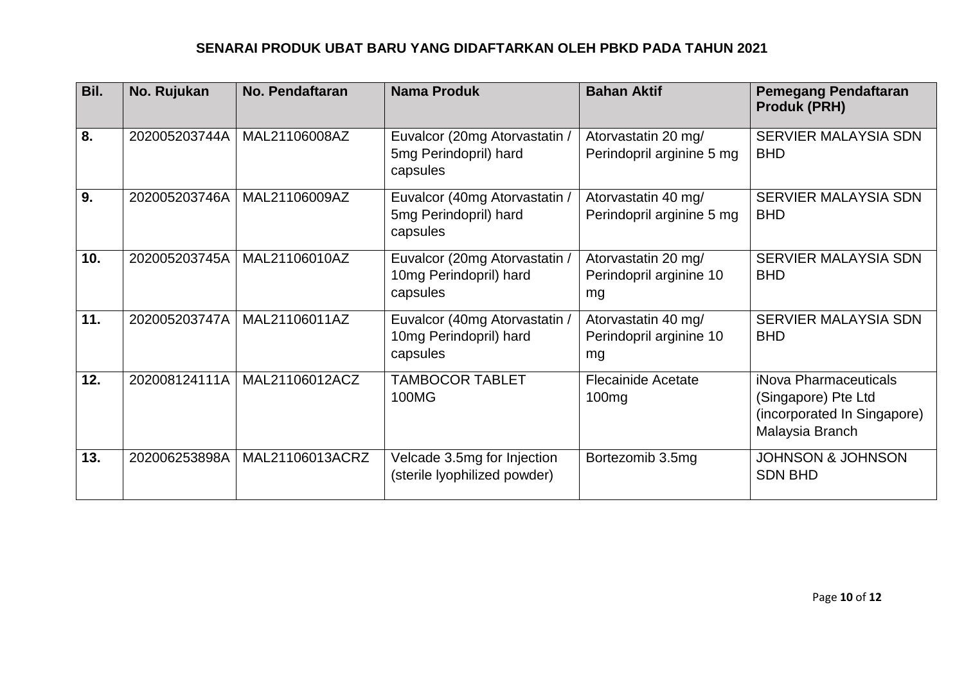| Bil. | No. Rujukan   | No. Pendaftaran | <b>Nama Produk</b>                                                  | <b>Bahan Aktif</b>                                   | <b>Pemegang Pendaftaran</b><br><b>Produk (PRH)</b>                                             |
|------|---------------|-----------------|---------------------------------------------------------------------|------------------------------------------------------|------------------------------------------------------------------------------------------------|
| 8.   | 202005203744A | MAL21106008AZ   | Euvalcor (20mg Atorvastatin /<br>5mg Perindopril) hard<br>capsules  | Atorvastatin 20 mg/<br>Perindopril arginine 5 mg     | <b>SERVIER MALAYSIA SDN</b><br><b>BHD</b>                                                      |
| 9.   | 202005203746A | MAL21106009AZ   | Euvalcor (40mg Atorvastatin /<br>5mg Perindopril) hard<br>capsules  | Atorvastatin 40 mg/<br>Perindopril arginine 5 mg     | SERVIER MALAYSIA SDN<br><b>BHD</b>                                                             |
| 10.  | 202005203745A | MAL21106010AZ   | Euvalcor (20mg Atorvastatin /<br>10mg Perindopril) hard<br>capsules | Atorvastatin 20 mg/<br>Perindopril arginine 10<br>mg | SERVIER MALAYSIA SDN<br><b>BHD</b>                                                             |
| 11.  | 202005203747A | MAL21106011AZ   | Euvalcor (40mg Atorvastatin /<br>10mg Perindopril) hard<br>capsules | Atorvastatin 40 mg/<br>Perindopril arginine 10<br>mg | <b>SERVIER MALAYSIA SDN</b><br><b>BHD</b>                                                      |
| 12.  | 202008124111A | MAL21106012ACZ  | TAMBOCOR TABLET<br>100MG                                            | <b>Flecainide Acetate</b><br>100 <sub>mg</sub>       | iNova Pharmaceuticals<br>(Singapore) Pte Ltd<br>(incorporated In Singapore)<br>Malaysia Branch |
| 13.  | 202006253898A | MAL21106013ACRZ | Velcade 3.5mg for Injection<br>(sterile lyophilized powder)         | Bortezomib 3.5mg                                     | <b>JOHNSON &amp; JOHNSON</b><br><b>SDN BHD</b>                                                 |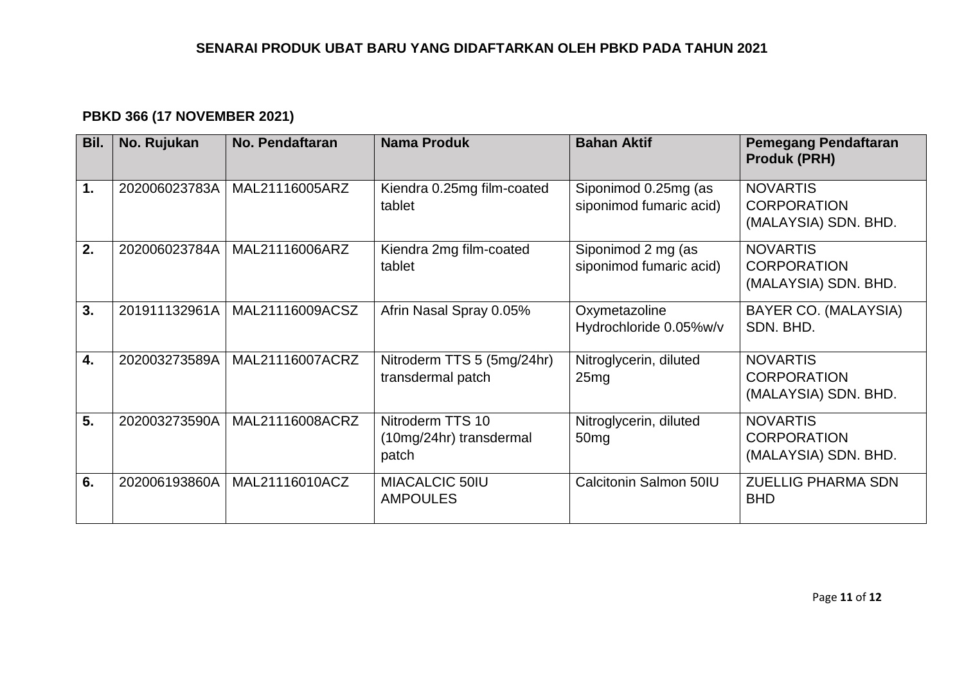# **PBKD 366 (17 NOVEMBER 2021)**

| Bil.          | No. Rujukan   | No. Pendaftaran | <b>Nama Produk</b>                                   | <b>Bahan Aktif</b>                              | <b>Pemegang Pendaftaran</b><br><b>Produk (PRH)</b>            |
|---------------|---------------|-----------------|------------------------------------------------------|-------------------------------------------------|---------------------------------------------------------------|
| $\mathbf 1$ . | 202006023783A | MAL21116005ARZ  | Kiendra 0.25mg film-coated<br>tablet                 | Siponimod 0.25mg (as<br>siponimod fumaric acid) | <b>NOVARTIS</b><br><b>CORPORATION</b><br>(MALAYSIA) SDN. BHD. |
| 2.            | 202006023784A | MAL21116006ARZ  | Kiendra 2mg film-coated<br>tablet                    | Siponimod 2 mg (as<br>siponimod fumaric acid)   | <b>NOVARTIS</b><br><b>CORPORATION</b><br>(MALAYSIA) SDN. BHD. |
| 3.            | 201911132961A | MAL21116009ACSZ | Afrin Nasal Spray 0.05%                              | Oxymetazoline<br>Hydrochloride 0.05%w/v         | BAYER CO. (MALAYSIA)<br>SDN, BHD.                             |
| 4.            | 202003273589A | MAL21116007ACRZ | Nitroderm TTS 5 (5mg/24hr)<br>transdermal patch      | Nitroglycerin, diluted<br>25mg                  | <b>NOVARTIS</b><br><b>CORPORATION</b><br>(MALAYSIA) SDN. BHD. |
| 5.            | 202003273590A | MAL21116008ACRZ | Nitroderm TTS 10<br>(10mg/24hr) transdermal<br>patch | Nitroglycerin, diluted<br>50 <sub>mg</sub>      | <b>NOVARTIS</b><br><b>CORPORATION</b><br>(MALAYSIA) SDN. BHD. |
| 6.            | 202006193860A | MAL21116010ACZ  | <b>MIACALCIC 50IU</b><br><b>AMPOULES</b>             | Calcitonin Salmon 50IU                          | <b>ZUELLIG PHARMA SDN</b><br><b>BHD</b>                       |